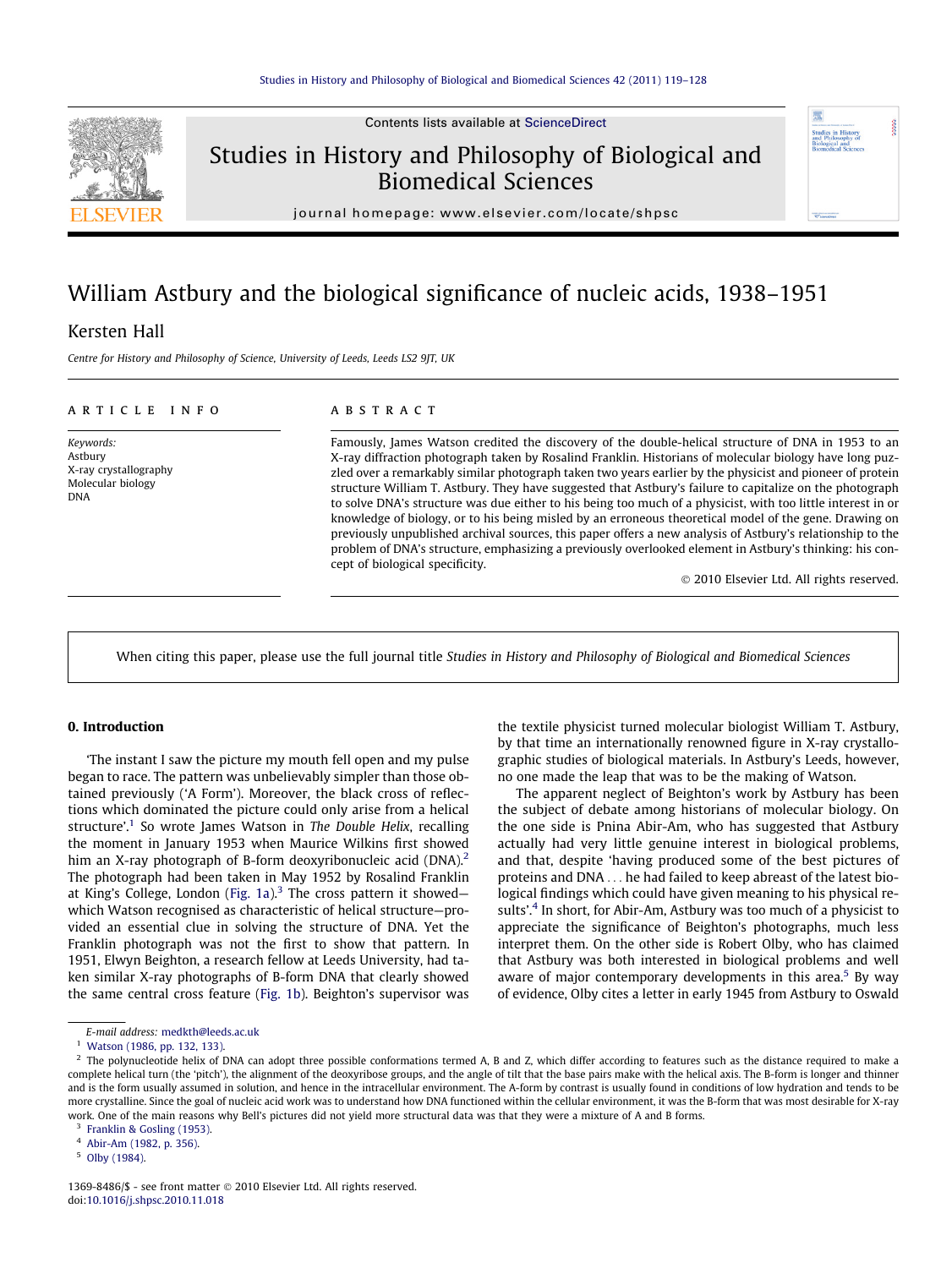

Contents lists available at [ScienceDirect](http://www.sciencedirect.com/science/journal/13698486)

## Studies in History and Philosophy of Biological and Biomedical Sciences



journal homepage: [www.elsevier.com/locate/shpsc](http://www.elsevier.com/locate/shpsc)

# William Astbury and the biological significance of nucleic acids, 1938–1951

### Kersten Hall

Centre for History and Philosophy of Science, University of Leeds, Leeds LS2 9JT, UK

#### article info

Keywords: Astbury X-ray crystallography Molecular biology DNA

#### **ABSTRACT**

Famously, James Watson credited the discovery of the double-helical structure of DNA in 1953 to an X-ray diffraction photograph taken by Rosalind Franklin. Historians of molecular biology have long puzzled over a remarkably similar photograph taken two years earlier by the physicist and pioneer of protein structure William T. Astbury. They have suggested that Astbury's failure to capitalize on the photograph to solve DNA's structure was due either to his being too much of a physicist, with too little interest in or knowledge of biology, or to his being misled by an erroneous theoretical model of the gene. Drawing on previously unpublished archival sources, this paper offers a new analysis of Astbury's relationship to the problem of DNA's structure, emphasizing a previously overlooked element in Astbury's thinking: his concept of biological specificity.

- 2010 Elsevier Ltd. All rights reserved.

When citing this paper, please use the full journal title Studies in History and Philosophy of Biological and Biomedical Sciences

#### 0. Introduction

'The instant I saw the picture my mouth fell open and my pulse began to race. The pattern was unbelievably simpler than those obtained previously ('A Form'). Moreover, the black cross of reflections which dominated the picture could only arise from a helical structure'.<sup>1</sup> So wrote James Watson in The Double Helix, recalling the moment in January 1953 when Maurice Wilkins first showed him an X-ray photograph of B-form deoxyribonucleic acid (DNA).<sup>2</sup> The photograph had been taken in May 1952 by Rosalind Franklin at King's College, London ([Fig. 1a\)](#page-1-0).<sup>3</sup> The cross pattern it showed which Watson recognised as characteristic of helical structure—provided an essential clue in solving the structure of DNA. Yet the Franklin photograph was not the first to show that pattern. In 1951, Elwyn Beighton, a research fellow at Leeds University, had taken similar X-ray photographs of B-form DNA that clearly showed the same central cross feature ([Fig. 1b](#page-1-0)). Beighton's supervisor was

E-mail address: [medkth@leeds.ac.uk](mailto:medkth@leeds.ac.uk)

the textile physicist turned molecular biologist William T. Astbury, by that time an internationally renowned figure in X-ray crystallographic studies of biological materials. In Astbury's Leeds, however, no one made the leap that was to be the making of Watson.

The apparent neglect of Beighton's work by Astbury has been the subject of debate among historians of molecular biology. On the one side is Pnina Abir-Am, who has suggested that Astbury actually had very little genuine interest in biological problems, and that, despite 'having produced some of the best pictures of proteins and DNA ... he had failed to keep abreast of the latest biological findings which could have given meaning to his physical results'.<sup>4</sup> In short, for Abir-Am, Astbury was too much of a physicist to appreciate the significance of Beighton's photographs, much less interpret them. On the other side is Robert Olby, who has claimed that Astbury was both interested in biological problems and well aware of major contemporary developments in this area.<sup>5</sup> By way of evidence, Olby cites a letter in early 1945 from Astbury to Oswald

<sup>&</sup>lt;sup>1</sup> [Watson \(1986, pp. 132, 133\).](#page-9-0)

<sup>&</sup>lt;sup>2</sup> The polynucleotide helix of DNA can adopt three possible conformations termed A, B and Z, which differ according to features such as the distance required to make a complete helical turn (the 'pitch'), the alignment of the deoxyribose groups, and the angle of tilt that the base pairs make with the helical axis. The B-form is longer and thinner and is the form usually assumed in solution, and hence in the intracellular environment. The A-form by contrast is usually found in conditions of low hydration and tends to be more crystalline. Since the goal of nucleic acid work was to understand how DNA functioned within the cellular environment, it was the B-form that was most desirable for X-ray work. One of the main reasons why Bell's pictures did not yield more structural data was that they were a mixture of A and B forms.

[Franklin & Gosling \(1953\)](#page-9-0).

<sup>4</sup> [Abir-Am \(1982, p. 356\)](#page-9-0).

<sup>5</sup> [Olby \(1984\).](#page-9-0)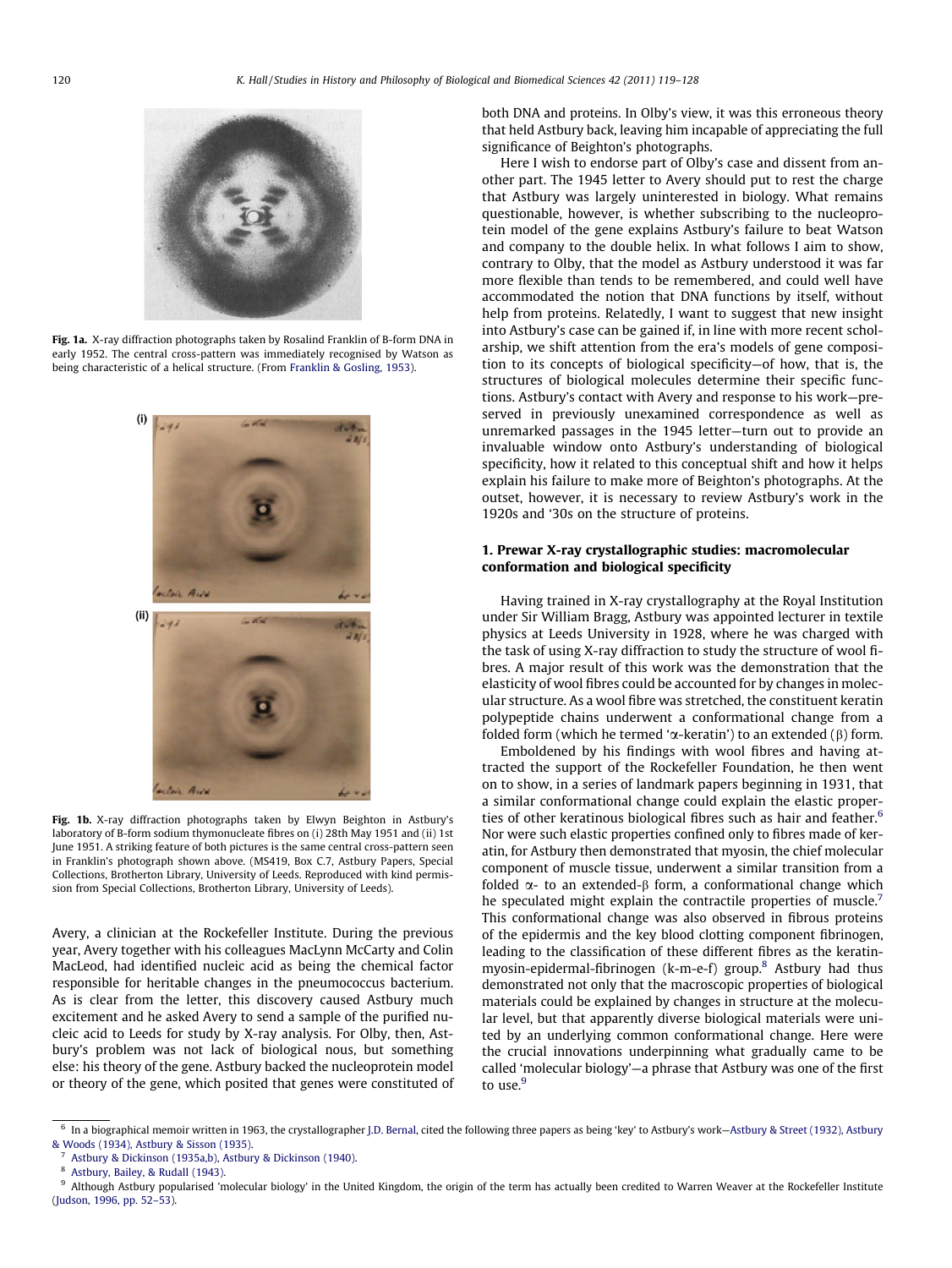<span id="page-1-0"></span>

Fig. 1a. X-ray diffraction photographs taken by Rosalind Franklin of B-form DNA in early 1952. The central cross-pattern was immediately recognised by Watson as being characteristic of a helical structure. (From [Franklin & Gosling, 1953\)](#page-9-0).



Fig. 1b. X-ray diffraction photographs taken by Elwyn Beighton in Astbury's laboratory of B-form sodium thymonucleate fibres on (i) 28th May 1951 and (ii) 1st June 1951. A striking feature of both pictures is the same central cross-pattern seen in Franklin's photograph shown above. (MS419, Box C.7, Astbury Papers, Special Collections, Brotherton Library, University of Leeds. Reproduced with kind permission from Special Collections, Brotherton Library, University of Leeds).

Avery, a clinician at the Rockefeller Institute. During the previous year, Avery together with his colleagues MacLynn McCarty and Colin MacLeod, had identified nucleic acid as being the chemical factor responsible for heritable changes in the pneumococcus bacterium. As is clear from the letter, this discovery caused Astbury much excitement and he asked Avery to send a sample of the purified nucleic acid to Leeds for study by X-ray analysis. For Olby, then, Astbury's problem was not lack of biological nous, but something else: his theory of the gene. Astbury backed the nucleoprotein model or theory of the gene, which posited that genes were constituted of both DNA and proteins. In Olby's view, it was this erroneous theory that held Astbury back, leaving him incapable of appreciating the full significance of Beighton's photographs.

Here I wish to endorse part of Olby's case and dissent from another part. The 1945 letter to Avery should put to rest the charge that Astbury was largely uninterested in biology. What remains questionable, however, is whether subscribing to the nucleoprotein model of the gene explains Astbury's failure to beat Watson and company to the double helix. In what follows I aim to show, contrary to Olby, that the model as Astbury understood it was far more flexible than tends to be remembered, and could well have accommodated the notion that DNA functions by itself, without help from proteins. Relatedly, I want to suggest that new insight into Astbury's case can be gained if, in line with more recent scholarship, we shift attention from the era's models of gene composition to its concepts of biological specificity—of how, that is, the structures of biological molecules determine their specific functions. Astbury's contact with Avery and response to his work—preserved in previously unexamined correspondence as well as unremarked passages in the 1945 letter—turn out to provide an invaluable window onto Astbury's understanding of biological specificity, how it related to this conceptual shift and how it helps explain his failure to make more of Beighton's photographs. At the outset, however, it is necessary to review Astbury's work in the 1920s and '30s on the structure of proteins.

#### 1. Prewar X-ray crystallographic studies: macromolecular conformation and biological specificity

Having trained in X-ray crystallography at the Royal Institution under Sir William Bragg, Astbury was appointed lecturer in textile physics at Leeds University in 1928, where he was charged with the task of using X-ray diffraction to study the structure of wool fibres. A major result of this work was the demonstration that the elasticity of wool fibres could be accounted for by changes in molecular structure. As a wool fibre was stretched, the constituent keratin polypeptide chains underwent a conformational change from a folded form (which he termed ' $\alpha$ -keratin') to an extended ( $\beta$ ) form.

Emboldened by his findings with wool fibres and having attracted the support of the Rockefeller Foundation, he then went on to show, in a series of landmark papers beginning in 1931, that a similar conformational change could explain the elastic properties of other keratinous biological fibres such as hair and feather.<sup>6</sup> Nor were such elastic properties confined only to fibres made of keratin, for Astbury then demonstrated that myosin, the chief molecular component of muscle tissue, underwent a similar transition from a folded  $\alpha$ - to an extended- $\beta$  form, a conformational change which he speculated might explain the contractile properties of muscle.<sup>7</sup> This conformational change was also observed in fibrous proteins of the epidermis and the key blood clotting component fibrinogen, leading to the classification of these different fibres as the keratinmyosin-epidermal-fibrinogen (k-m-e-f) group.<sup>8</sup> Astbury had thus demonstrated not only that the macroscopic properties of biological materials could be explained by changes in structure at the molecular level, but that apparently diverse biological materials were united by an underlying common conformational change. Here were the crucial innovations underpinning what gradually came to be called 'molecular biology'—a phrase that Astbury was one of the first to use.<sup>9</sup>

 $^6$  In a biographical memoir written in 1963, the crystallographer [J.D. Bernal](#page-9-0), cited the following three papers as being 'key' to Astbury's work–[Astbury & Street \(1932\), Astbury](#page-9-0) [& Woods \(1934\), Astbury & Sisson \(1935\)](#page-9-0).

[Astbury & Dickinson \(1935a,b\), Astbury & Dickinson \(1940\)](#page-9-0).

<sup>8</sup> [Astbury, Bailey, & Rudall \(1943\).](#page-9-0)

<sup>&</sup>lt;sup>9</sup> Although Astbury popularised 'molecular biology' in the United Kingdom, the origin of the term has actually been credited to Warren Weaver at the Rockefeller Institute [\(Judson, 1996, pp. 52–53\)](#page-9-0).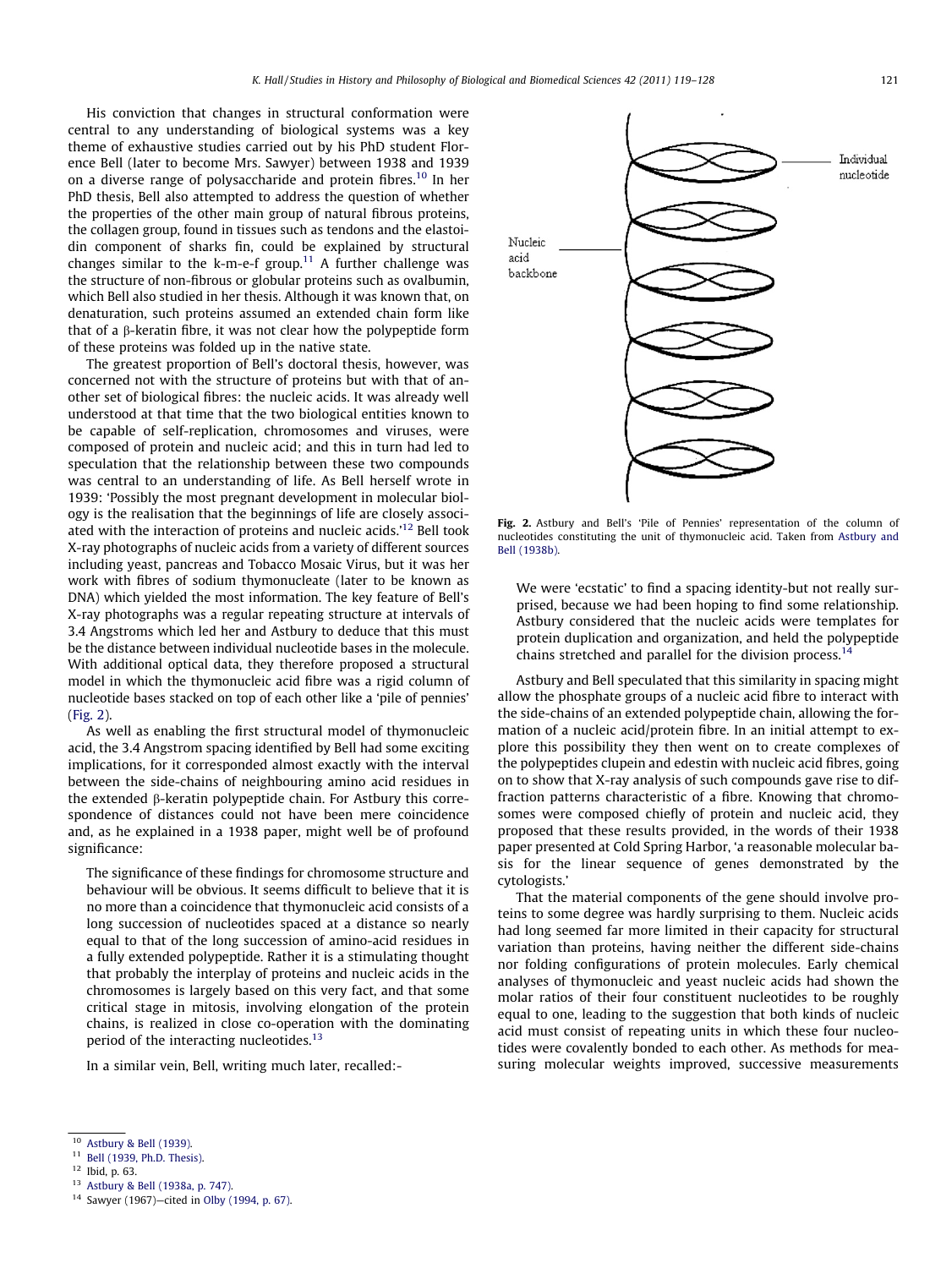His conviction that changes in structural conformation were central to any understanding of biological systems was a key theme of exhaustive studies carried out by his PhD student Florence Bell (later to become Mrs. Sawyer) between 1938 and 1939 on a diverse range of polysaccharide and protein fibres.<sup>10</sup> In her PhD thesis, Bell also attempted to address the question of whether the properties of the other main group of natural fibrous proteins, the collagen group, found in tissues such as tendons and the elastoidin component of sharks fin, could be explained by structural changes similar to the k-m-e-f group.<sup>11</sup> A further challenge was the structure of non-fibrous or globular proteins such as ovalbumin, which Bell also studied in her thesis. Although it was known that, on denaturation, such proteins assumed an extended chain form like that of a  $\beta$ -keratin fibre, it was not clear how the polypeptide form of these proteins was folded up in the native state.

The greatest proportion of Bell's doctoral thesis, however, was concerned not with the structure of proteins but with that of another set of biological fibres: the nucleic acids. It was already well understood at that time that the two biological entities known to be capable of self-replication, chromosomes and viruses, were composed of protein and nucleic acid; and this in turn had led to speculation that the relationship between these two compounds was central to an understanding of life. As Bell herself wrote in 1939: 'Possibly the most pregnant development in molecular biology is the realisation that the beginnings of life are closely associated with the interaction of proteins and nucleic acids.'12 Bell took X-ray photographs of nucleic acids from a variety of different sources including yeast, pancreas and Tobacco Mosaic Virus, but it was her work with fibres of sodium thymonucleate (later to be known as DNA) which yielded the most information. The key feature of Bell's X-ray photographs was a regular repeating structure at intervals of 3.4 Angstroms which led her and Astbury to deduce that this must be the distance between individual nucleotide bases in the molecule. With additional optical data, they therefore proposed a structural model in which the thymonucleic acid fibre was a rigid column of nucleotide bases stacked on top of each other like a 'pile of pennies' (Fig. 2).

As well as enabling the first structural model of thymonucleic acid, the 3.4 Angstrom spacing identified by Bell had some exciting implications, for it corresponded almost exactly with the interval between the side-chains of neighbouring amino acid residues in the extended  $\beta$ -keratin polypeptide chain. For Astbury this correspondence of distances could not have been mere coincidence and, as he explained in a 1938 paper, might well be of profound significance:

The significance of these findings for chromosome structure and behaviour will be obvious. It seems difficult to believe that it is no more than a coincidence that thymonucleic acid consists of a long succession of nucleotides spaced at a distance so nearly equal to that of the long succession of amino-acid residues in a fully extended polypeptide. Rather it is a stimulating thought that probably the interplay of proteins and nucleic acids in the chromosomes is largely based on this very fact, and that some critical stage in mitosis, involving elongation of the protein chains, is realized in close co-operation with the dominating period of the interacting nucleotides.<sup>13</sup>

In a similar vein, Bell, writing much later, recalled:-

Fig. 2. Astbury and Bell's 'Pile of Pennies' representation of the column of nucleotides constituting the unit of thymonucleic acid. Taken from [Astbury and](#page-9-0) [Bell \(1938b\).](#page-9-0)

We were 'ecstatic' to find a spacing identity-but not really surprised, because we had been hoping to find some relationship. Astbury considered that the nucleic acids were templates for protein duplication and organization, and held the polypeptide chains stretched and parallel for the division process.<sup>14</sup>

Astbury and Bell speculated that this similarity in spacing might allow the phosphate groups of a nucleic acid fibre to interact with the side-chains of an extended polypeptide chain, allowing the formation of a nucleic acid/protein fibre. In an initial attempt to explore this possibility they then went on to create complexes of the polypeptides clupein and edestin with nucleic acid fibres, going on to show that X-ray analysis of such compounds gave rise to diffraction patterns characteristic of a fibre. Knowing that chromosomes were composed chiefly of protein and nucleic acid, they proposed that these results provided, in the words of their 1938 paper presented at Cold Spring Harbor, 'a reasonable molecular basis for the linear sequence of genes demonstrated by the cytologists.'

That the material components of the gene should involve proteins to some degree was hardly surprising to them. Nucleic acids had long seemed far more limited in their capacity for structural variation than proteins, having neither the different side-chains nor folding configurations of protein molecules. Early chemical analyses of thymonucleic and yeast nucleic acids had shown the molar ratios of their four constituent nucleotides to be roughly equal to one, leading to the suggestion that both kinds of nucleic acid must consist of repeating units in which these four nucleotides were covalently bonded to each other. As methods for measuring molecular weights improved, successive measurements

<sup>13</sup> [Astbury & Bell \(1938a, p. 747\).](#page-9-0)

Individual nucleotide Nucleic acid backbone

<sup>&</sup>lt;sup>10</sup> [Astbury & Bell \(1939\).](#page-9-0)<br><sup>11</sup> Poll (1939, Pb D. Thesi

 $^{11}$  [Bell \(1939, Ph.D. Thesis\)](#page-9-0).

<sup>12</sup> Ibid, p. 63.

<sup>14</sup> Sawyer (1967)—cited in [Olby \(1994, p. 67\)](#page-9-0).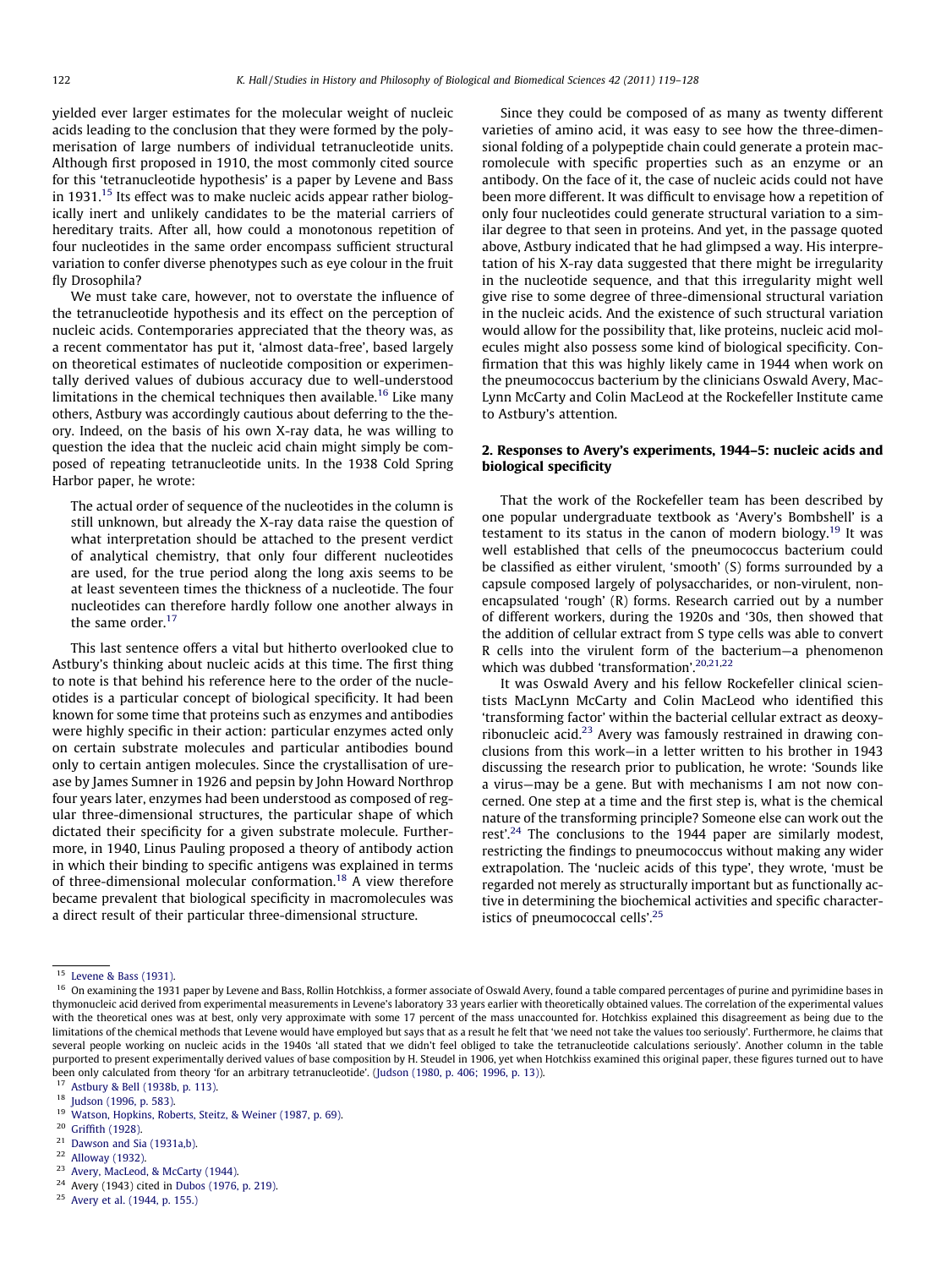yielded ever larger estimates for the molecular weight of nucleic acids leading to the conclusion that they were formed by the polymerisation of large numbers of individual tetranucleotide units. Although first proposed in 1910, the most commonly cited source for this 'tetranucleotide hypothesis' is a paper by Levene and Bass in 1931.<sup>15</sup> Its effect was to make nucleic acids appear rather biologically inert and unlikely candidates to be the material carriers of hereditary traits. After all, how could a monotonous repetition of four nucleotides in the same order encompass sufficient structural variation to confer diverse phenotypes such as eye colour in the fruit fly Drosophila?

We must take care, however, not to overstate the influence of the tetranucleotide hypothesis and its effect on the perception of nucleic acids. Contemporaries appreciated that the theory was, as a recent commentator has put it, 'almost data-free', based largely on theoretical estimates of nucleotide composition or experimentally derived values of dubious accuracy due to well-understood limitations in the chemical techniques then available.<sup>16</sup> Like many others, Astbury was accordingly cautious about deferring to the theory. Indeed, on the basis of his own X-ray data, he was willing to question the idea that the nucleic acid chain might simply be composed of repeating tetranucleotide units. In the 1938 Cold Spring Harbor paper, he wrote:

The actual order of sequence of the nucleotides in the column is still unknown, but already the X-ray data raise the question of what interpretation should be attached to the present verdict of analytical chemistry, that only four different nucleotides are used, for the true period along the long axis seems to be at least seventeen times the thickness of a nucleotide. The four nucleotides can therefore hardly follow one another always in the same order. $17$ 

This last sentence offers a vital but hitherto overlooked clue to Astbury's thinking about nucleic acids at this time. The first thing to note is that behind his reference here to the order of the nucleotides is a particular concept of biological specificity. It had been known for some time that proteins such as enzymes and antibodies were highly specific in their action: particular enzymes acted only on certain substrate molecules and particular antibodies bound only to certain antigen molecules. Since the crystallisation of urease by James Sumner in 1926 and pepsin by John Howard Northrop four years later, enzymes had been understood as composed of regular three-dimensional structures, the particular shape of which dictated their specificity for a given substrate molecule. Furthermore, in 1940, Linus Pauling proposed a theory of antibody action in which their binding to specific antigens was explained in terms of three-dimensional molecular conformation.18 A view therefore became prevalent that biological specificity in macromolecules was a direct result of their particular three-dimensional structure.

Since they could be composed of as many as twenty different varieties of amino acid, it was easy to see how the three-dimensional folding of a polypeptide chain could generate a protein macromolecule with specific properties such as an enzyme or an antibody. On the face of it, the case of nucleic acids could not have been more different. It was difficult to envisage how a repetition of only four nucleotides could generate structural variation to a similar degree to that seen in proteins. And yet, in the passage quoted above, Astbury indicated that he had glimpsed a way. His interpretation of his X-ray data suggested that there might be irregularity in the nucleotide sequence, and that this irregularity might well give rise to some degree of three-dimensional structural variation in the nucleic acids. And the existence of such structural variation would allow for the possibility that, like proteins, nucleic acid molecules might also possess some kind of biological specificity. Confirmation that this was highly likely came in 1944 when work on the pneumococcus bacterium by the clinicians Oswald Avery, Mac-Lynn McCarty and Colin MacLeod at the Rockefeller Institute came to Astbury's attention.

#### 2. Responses to Avery's experiments, 1944–5: nucleic acids and biological specificity

That the work of the Rockefeller team has been described by one popular undergraduate textbook as 'Avery's Bombshell' is a testament to its status in the canon of modern biology.<sup>19</sup> It was well established that cells of the pneumococcus bacterium could be classified as either virulent, 'smooth' (S) forms surrounded by a capsule composed largely of polysaccharides, or non-virulent, nonencapsulated 'rough' (R) forms. Research carried out by a number of different workers, during the 1920s and '30s, then showed that the addition of cellular extract from S type cells was able to convert R cells into the virulent form of the bacterium—a phenomenon which was dubbed 'transformation'.<sup>20,21,22</sup>

It was Oswald Avery and his fellow Rockefeller clinical scientists MacLynn McCarty and Colin MacLeod who identified this 'transforming factor' within the bacterial cellular extract as deoxyribonucleic acid. $23$  Avery was famously restrained in drawing conclusions from this work—in a letter written to his brother in 1943 discussing the research prior to publication, he wrote: 'Sounds like a virus—may be a gene. But with mechanisms I am not now concerned. One step at a time and the first step is, what is the chemical nature of the transforming principle? Someone else can work out the rest'.<sup>24</sup> The conclusions to the 1944 paper are similarly modest, restricting the findings to pneumococcus without making any wider extrapolation. The 'nucleic acids of this type', they wrote, 'must be regarded not merely as structurally important but as functionally active in determining the biochemical activities and specific characteristics of pneumococcal cells'.<sup>25</sup>

<sup>24</sup> Avery (1943) cited in [Dubos \(1976, p. 219\).](#page-9-0)

<sup>15</sup> [Levene & Bass \(1931\)](#page-9-0).

<sup>&</sup>lt;sup>16</sup> On examining the 1931 paper by Levene and Bass, Rollin Hotchkiss, a former associate of Oswald Avery, found a table compared percentages of purine and pyrimidine bases in thymonucleic acid derived from experimental measurements in Levene's laboratory 33 years earlier with theoretically obtained values. The correlation of the experimental values with the theoretical ones was at best, only very approximate with some 17 percent of the mass unaccounted for. Hotchkiss explained this disagreement as being due to the limitations of the chemical methods that Levene would have employed but says that as a result he felt that 'we need not take the values too seriously'. Furthermore, he claims that several people working on nucleic acids in the 1940s 'all stated that we didn't feel obliged to take the tetranucleotide calculations seriously'. Another column in the table purported to present experimentally derived values of base composition by H. Steudel in 1906, yet when Hotchkiss examined this original paper, these figures turned out to have been only calculated from theory 'for an arbitrary tetranucleotide'. ([Judson \(1980, p. 406; 1996, p. 13\)](#page-9-0)).

<sup>&</sup>lt;sup>17</sup> [Astbury & Bell \(1938b, p. 113\)](#page-9-0).

[Judson \(1996, p. 583\)](#page-9-0).

<sup>19</sup> [Watson, Hopkins, Roberts, Steitz, & Weiner \(1987, p. 69\)](#page-9-0).

<sup>20</sup> [Griffith \(1928\).](#page-9-0)

 $21$  [Dawson and Sia \(1931a,b\)](#page-9-0).

<sup>22</sup> [Alloway \(1932\)](#page-9-0).

<sup>23</sup> [Avery, MacLeod, & McCarty \(1944\)](#page-9-0).

<sup>25</sup> [Avery et al. \(1944, p. 155.\)](#page-9-0)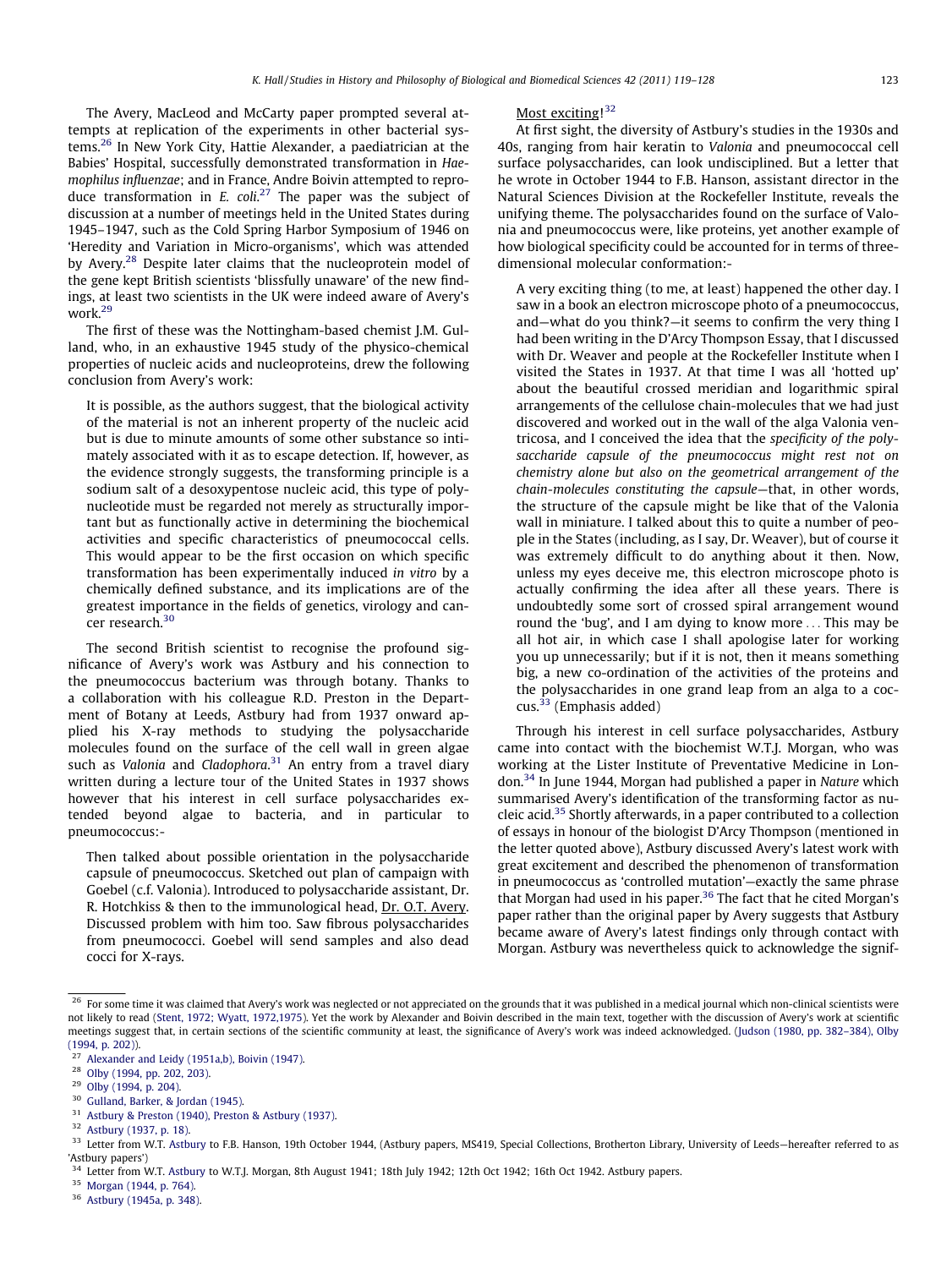The Avery, MacLeod and McCarty paper prompted several attempts at replication of the experiments in other bacterial systems.26 In New York City, Hattie Alexander, a paediatrician at the Babies' Hospital, successfully demonstrated transformation in Haemophilus influenzae; and in France, Andre Boivin attempted to reproduce transformation in  $E$ . coli.<sup>27</sup> The paper was the subject of discussion at a number of meetings held in the United States during 1945–1947, such as the Cold Spring Harbor Symposium of 1946 on 'Heredity and Variation in Micro-organisms', which was attended by Avery.<sup>28</sup> Despite later claims that the nucleoprotein model of the gene kept British scientists 'blissfully unaware' of the new findings, at least two scientists in the UK were indeed aware of Avery's work.<sup>29</sup>

The first of these was the Nottingham-based chemist J.M. Gulland, who, in an exhaustive 1945 study of the physico-chemical properties of nucleic acids and nucleoproteins, drew the following conclusion from Avery's work:

It is possible, as the authors suggest, that the biological activity of the material is not an inherent property of the nucleic acid but is due to minute amounts of some other substance so intimately associated with it as to escape detection. If, however, as the evidence strongly suggests, the transforming principle is a sodium salt of a desoxypentose nucleic acid, this type of polynucleotide must be regarded not merely as structurally important but as functionally active in determining the biochemical activities and specific characteristics of pneumococcal cells. This would appear to be the first occasion on which specific transformation has been experimentally induced in vitro by a chemically defined substance, and its implications are of the greatest importance in the fields of genetics, virology and cancer research.<sup>30</sup>

The second British scientist to recognise the profound significance of Avery's work was Astbury and his connection to the pneumococcus bacterium was through botany. Thanks to a collaboration with his colleague R.D. Preston in the Department of Botany at Leeds, Astbury had from 1937 onward applied his X-ray methods to studying the polysaccharide molecules found on the surface of the cell wall in green algae such as Valonia and Cladophora.<sup>31</sup> An entry from a travel diary written during a lecture tour of the United States in 1937 shows however that his interest in cell surface polysaccharides extended beyond algae to bacteria, and in particular to pneumococcus:-

Then talked about possible orientation in the polysaccharide capsule of pneumococcus. Sketched out plan of campaign with Goebel (c.f. Valonia). Introduced to polysaccharide assistant, Dr. R. Hotchkiss & then to the immunological head, Dr. O.T. Avery. Discussed problem with him too. Saw fibrous polysaccharides from pneumococci. Goebel will send samples and also dead cocci for X-rays.

### Most exciting!<sup>32</sup>

At first sight, the diversity of Astbury's studies in the 1930s and 40s, ranging from hair keratin to Valonia and pneumococcal cell surface polysaccharides, can look undisciplined. But a letter that he wrote in October 1944 to F.B. Hanson, assistant director in the Natural Sciences Division at the Rockefeller Institute, reveals the unifying theme. The polysaccharides found on the surface of Valonia and pneumococcus were, like proteins, yet another example of how biological specificity could be accounted for in terms of threedimensional molecular conformation:-

A very exciting thing (to me, at least) happened the other day. I saw in a book an electron microscope photo of a pneumococcus, and—what do you think?—it seems to confirm the very thing I had been writing in the D'Arcy Thompson Essay, that I discussed with Dr. Weaver and people at the Rockefeller Institute when I visited the States in 1937. At that time I was all 'hotted up' about the beautiful crossed meridian and logarithmic spiral arrangements of the cellulose chain-molecules that we had just discovered and worked out in the wall of the alga Valonia ventricosa, and I conceived the idea that the specificity of the polysaccharide capsule of the pneumococcus might rest not on chemistry alone but also on the geometrical arrangement of the chain-molecules constituting the capsule—that, in other words, the structure of the capsule might be like that of the Valonia wall in miniature. I talked about this to quite a number of people in the States (including, as I say, Dr. Weaver), but of course it was extremely difficult to do anything about it then. Now, unless my eyes deceive me, this electron microscope photo is actually confirming the idea after all these years. There is undoubtedly some sort of crossed spiral arrangement wound round the 'bug', and I am dying to know more ... This may be all hot air, in which case I shall apologise later for working you up unnecessarily; but if it is not, then it means something big, a new co-ordination of the activities of the proteins and the polysaccharides in one grand leap from an alga to a coccus.33 (Emphasis added)

Through his interest in cell surface polysaccharides, Astbury came into contact with the biochemist W.T.J. Morgan, who was working at the Lister Institute of Preventative Medicine in London.34 In June 1944, Morgan had published a paper in Nature which summarised Avery's identification of the transforming factor as nucleic acid.<sup>35</sup> Shortly afterwards, in a paper contributed to a collection of essays in honour of the biologist D'Arcy Thompson (mentioned in the letter quoted above), Astbury discussed Avery's latest work with great excitement and described the phenomenon of transformation in pneumococcus as 'controlled mutation'—exactly the same phrase that Morgan had used in his paper. $36$  The fact that he cited Morgan's paper rather than the original paper by Avery suggests that Astbury became aware of Avery's latest findings only through contact with Morgan. Astbury was nevertheless quick to acknowledge the signif-

<sup>31</sup> [Astbury & Preston \(1940\), Preston & Astbury \(1937\)](#page-9-0).

<sup>35</sup> [Morgan \(1944, p. 764\)](#page-9-0).

 $26$  For some time it was claimed that Avery's work was neglected or not appreciated on the grounds that it was published in a medical journal which non-clinical scientists were not likely to read [\(Stent, 1972; Wyatt, 1972,1975](#page-9-0)). Yet the work by Alexander and Boivin described in the main text, together with the discussion of Avery's work at scientific meetings suggest that, in certain sections of the scientific community at least, the significance of Avery's work was indeed acknowledged. [\(Judson \(1980, pp. 382–384\), Olby](#page-9-0) [\(1994, p. 202\)](#page-9-0)).

<sup>&</sup>lt;sup>27</sup> [Alexander and Leidy \(1951a,b\), Boivin \(1947\)](#page-9-0).

<sup>28</sup> [Olby \(1994, pp. 202, 203\).](#page-9-0)

 $^{29}$  [Olby \(1994, p. 204\)](#page-9-0).

[Gulland, Barker, & Jordan \(1945\)](#page-9-0).

<sup>32</sup> [Astbury \(1937, p. 18\).](#page-9-0)

<sup>33</sup> Letter from W.T. [Astbury](#page-9-0) to F.B. Hanson, 19th October 1944, (Astbury papers, MS419, Special Collections, Brotherton Library, University of Leeds–hereafter referred to as 'Astbury papers')

<sup>&</sup>lt;sup>34</sup> Letter from W.T. [Astbury](#page-9-0) to W.T.J. Morgan, 8th August 1941; 18th July 1942; 12th Oct 1942; 16th Oct 1942. Astbury papers.

<sup>36</sup> [Astbury \(1945a, p. 348\).](#page-9-0)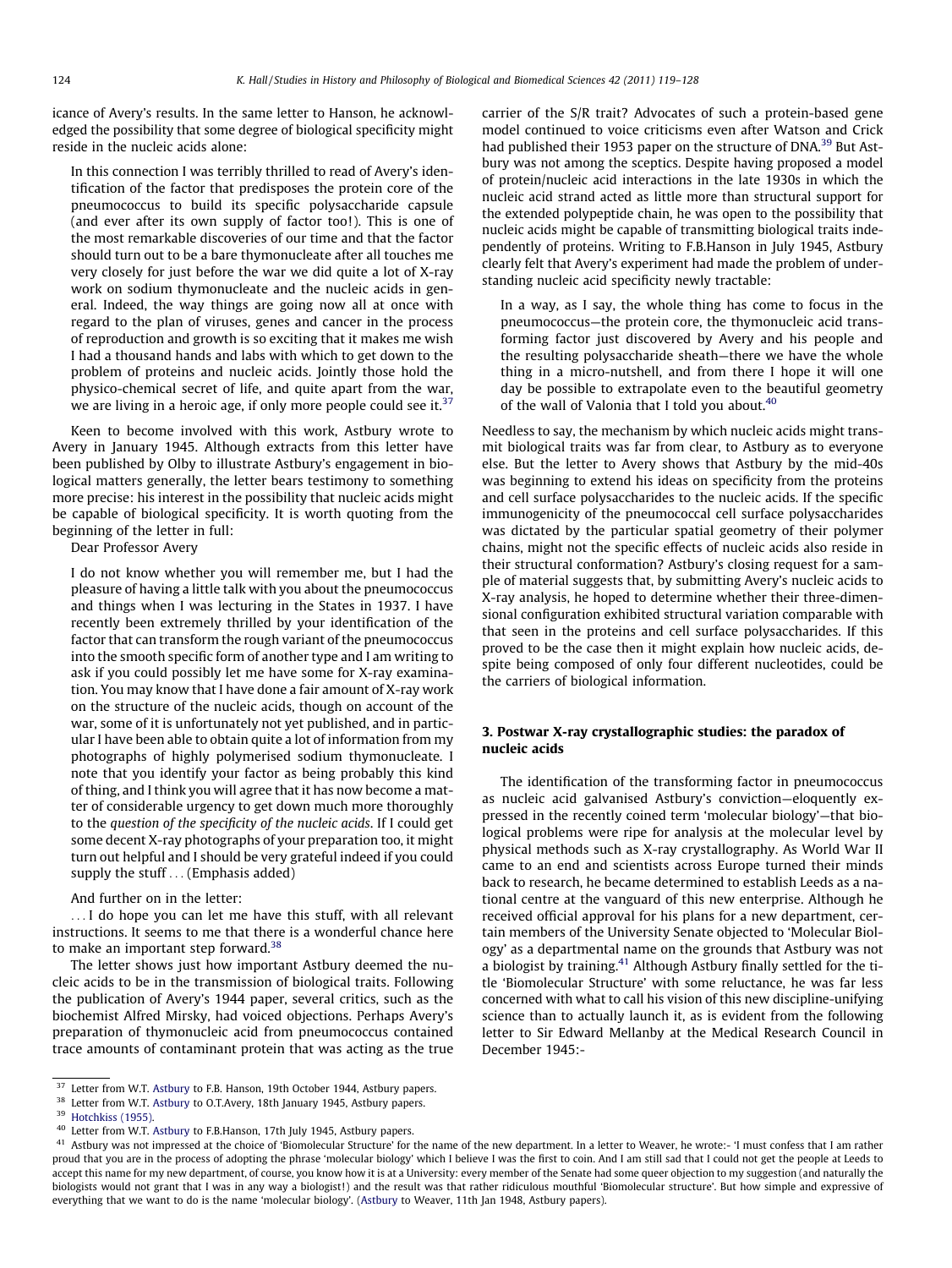icance of Avery's results. In the same letter to Hanson, he acknowledged the possibility that some degree of biological specificity might reside in the nucleic acids alone:

In this connection I was terribly thrilled to read of Avery's identification of the factor that predisposes the protein core of the pneumococcus to build its specific polysaccharide capsule (and ever after its own supply of factor too!). This is one of the most remarkable discoveries of our time and that the factor should turn out to be a bare thymonucleate after all touches me very closely for just before the war we did quite a lot of X-ray work on sodium thymonucleate and the nucleic acids in general. Indeed, the way things are going now all at once with regard to the plan of viruses, genes and cancer in the process of reproduction and growth is so exciting that it makes me wish I had a thousand hands and labs with which to get down to the problem of proteins and nucleic acids. Jointly those hold the physico-chemical secret of life, and quite apart from the war, we are living in a heroic age, if only more people could see it.<sup>37</sup>

Keen to become involved with this work, Astbury wrote to Avery in January 1945. Although extracts from this letter have been published by Olby to illustrate Astbury's engagement in biological matters generally, the letter bears testimony to something more precise: his interest in the possibility that nucleic acids might be capable of biological specificity. It is worth quoting from the beginning of the letter in full:

Dear Professor Avery

I do not know whether you will remember me, but I had the pleasure of having a little talk with you about the pneumococcus and things when I was lecturing in the States in 1937. I have recently been extremely thrilled by your identification of the factor that can transform the rough variant of the pneumococcus into the smooth specific form of another type and I am writing to ask if you could possibly let me have some for X-ray examination. You may know that I have done a fair amount of X-ray work on the structure of the nucleic acids, though on account of the war, some of it is unfortunately not yet published, and in particular I have been able to obtain quite a lot of information from my photographs of highly polymerised sodium thymonucleate. I note that you identify your factor as being probably this kind of thing, and I think you will agree that it has now become a matter of considerable urgency to get down much more thoroughly to the question of the specificity of the nucleic acids. If I could get some decent X-ray photographs of your preparation too, it might turn out helpful and I should be very grateful indeed if you could supply the stuff ... (Emphasis added)

And further on in the letter:

... I do hope you can let me have this stuff, with all relevant instructions. It seems to me that there is a wonderful chance here to make an important step forward.<sup>38</sup>

The letter shows just how important Astbury deemed the nucleic acids to be in the transmission of biological traits. Following the publication of Avery's 1944 paper, several critics, such as the biochemist Alfred Mirsky, had voiced objections. Perhaps Avery's preparation of thymonucleic acid from pneumococcus contained trace amounts of contaminant protein that was acting as the true In a way, as I say, the whole thing has come to focus in the pneumococcus—the protein core, the thymonucleic acid transforming factor just discovered by Avery and his people and the resulting polysaccharide sheath—there we have the whole thing in a micro-nutshell, and from there I hope it will one day be possible to extrapolate even to the beautiful geometry of the wall of Valonia that I told you about.<sup>40</sup>

Needless to say, the mechanism by which nucleic acids might transmit biological traits was far from clear, to Astbury as to everyone else. But the letter to Avery shows that Astbury by the mid-40s was beginning to extend his ideas on specificity from the proteins and cell surface polysaccharides to the nucleic acids. If the specific immunogenicity of the pneumococcal cell surface polysaccharides was dictated by the particular spatial geometry of their polymer chains, might not the specific effects of nucleic acids also reside in their structural conformation? Astbury's closing request for a sample of material suggests that, by submitting Avery's nucleic acids to X-ray analysis, he hoped to determine whether their three-dimensional configuration exhibited structural variation comparable with that seen in the proteins and cell surface polysaccharides. If this proved to be the case then it might explain how nucleic acids, despite being composed of only four different nucleotides, could be the carriers of biological information.

#### 3. Postwar X-ray crystallographic studies: the paradox of nucleic acids

The identification of the transforming factor in pneumococcus as nucleic acid galvanised Astbury's conviction—eloquently expressed in the recently coined term 'molecular biology'—that biological problems were ripe for analysis at the molecular level by physical methods such as X-ray crystallography. As World War II came to an end and scientists across Europe turned their minds back to research, he became determined to establish Leeds as a national centre at the vanguard of this new enterprise. Although he received official approval for his plans for a new department, certain members of the University Senate objected to 'Molecular Biology' as a departmental name on the grounds that Astbury was not a biologist by training.<sup>41</sup> Although Astbury finally settled for the title 'Biomolecular Structure' with some reluctance, he was far less concerned with what to call his vision of this new discipline-unifying science than to actually launch it, as is evident from the following letter to Sir Edward Mellanby at the Medical Research Council in December 1945:-

<sup>&</sup>lt;sup>37</sup> Letter from W.T. [Astbury](#page-9-0) to F.B. Hanson, 19th October 1944, Astbury papers.

<sup>&</sup>lt;sup>38</sup> Letter from W.T. [Astbury](#page-9-0) to O.T.Avery, 18th January 1945, Astbury papers.

<sup>&</sup>lt;sup>39</sup> [Hotchkiss \(1955\)](#page-9-0).

<sup>40</sup> Letter from W.T. [Astbury](#page-9-0) to F.B.Hanson, 17th July 1945, Astbury papers.

carrier of the S/R trait? Advocates of such a protein-based gene model continued to voice criticisms even after Watson and Crick had published their 1953 paper on the structure of DNA.<sup>39</sup> But Astbury was not among the sceptics. Despite having proposed a model of protein/nucleic acid interactions in the late 1930s in which the nucleic acid strand acted as little more than structural support for the extended polypeptide chain, he was open to the possibility that nucleic acids might be capable of transmitting biological traits independently of proteins. Writing to F.B.Hanson in July 1945, Astbury clearly felt that Avery's experiment had made the problem of understanding nucleic acid specificity newly tractable:

<sup>41</sup> Astbury was not impressed at the choice of 'Biomolecular Structure' for the name of the new department. In a letter to Weaver, he wrote:- 'I must confess that I am rather proud that you are in the process of adopting the phrase 'molecular biology' which I believe I was the first to coin. And I am still sad that I could not get the people at Leeds to accept this name for my new department, of course, you know how it is at a University: every member of the Senate had some queer objection to my suggestion (and naturally the biologists would not grant that I was in any way a biologist!) and the result was that rather ridiculous mouthful 'Biomolecular structure'. But how simple and expressive of everything that we want to do is the name 'molecular biology'. ([Astbury](#page-9-0) to Weaver, 11th Jan 1948, Astbury papers).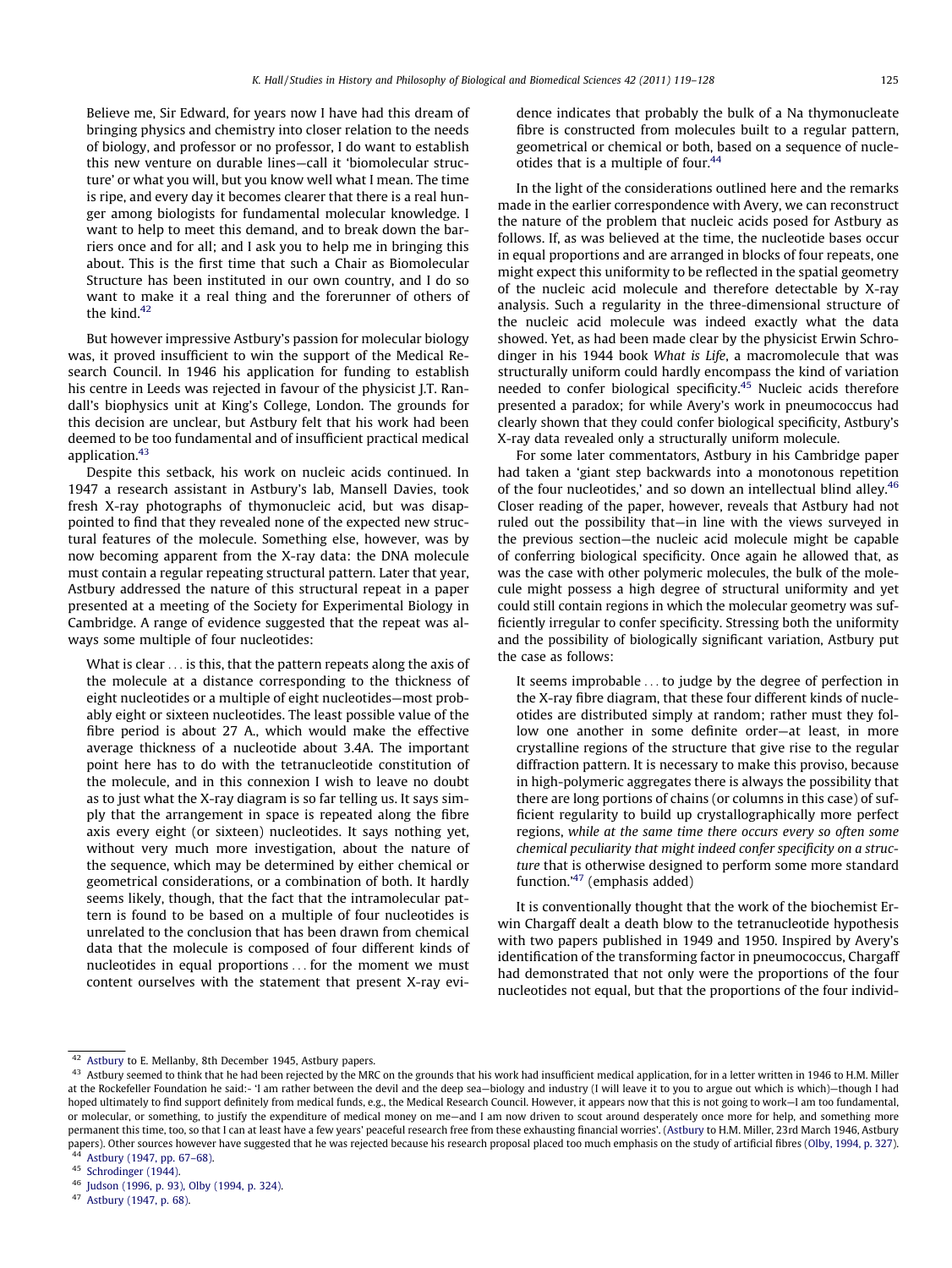Believe me, Sir Edward, for years now I have had this dream of bringing physics and chemistry into closer relation to the needs of biology, and professor or no professor, I do want to establish this new venture on durable lines—call it 'biomolecular structure' or what you will, but you know well what I mean. The time is ripe, and every day it becomes clearer that there is a real hunger among biologists for fundamental molecular knowledge. I want to help to meet this demand, and to break down the barriers once and for all; and I ask you to help me in bringing this about. This is the first time that such a Chair as Biomolecular Structure has been instituted in our own country, and I do so want to make it a real thing and the forerunner of others of the kind. $42$ 

But however impressive Astbury's passion for molecular biology was, it proved insufficient to win the support of the Medical Research Council. In 1946 his application for funding to establish his centre in Leeds was rejected in favour of the physicist J.T. Randall's biophysics unit at King's College, London. The grounds for this decision are unclear, but Astbury felt that his work had been deemed to be too fundamental and of insufficient practical medical application.<sup>43</sup>

Despite this setback, his work on nucleic acids continued. In 1947 a research assistant in Astbury's lab, Mansell Davies, took fresh X-ray photographs of thymonucleic acid, but was disappointed to find that they revealed none of the expected new structural features of the molecule. Something else, however, was by now becoming apparent from the X-ray data: the DNA molecule must contain a regular repeating structural pattern. Later that year, Astbury addressed the nature of this structural repeat in a paper presented at a meeting of the Society for Experimental Biology in Cambridge. A range of evidence suggested that the repeat was always some multiple of four nucleotides:

What is clear ... is this, that the pattern repeats along the axis of the molecule at a distance corresponding to the thickness of eight nucleotides or a multiple of eight nucleotides—most probably eight or sixteen nucleotides. The least possible value of the fibre period is about 27 A., which would make the effective average thickness of a nucleotide about 3.4A. The important point here has to do with the tetranucleotide constitution of the molecule, and in this connexion I wish to leave no doubt as to just what the X-ray diagram is so far telling us. It says simply that the arrangement in space is repeated along the fibre axis every eight (or sixteen) nucleotides. It says nothing yet, without very much more investigation, about the nature of the sequence, which may be determined by either chemical or geometrical considerations, or a combination of both. It hardly seems likely, though, that the fact that the intramolecular pattern is found to be based on a multiple of four nucleotides is unrelated to the conclusion that has been drawn from chemical data that the molecule is composed of four different kinds of nucleotides in equal proportions ... for the moment we must content ourselves with the statement that present X-ray evidence indicates that probably the bulk of a Na thymonucleate fibre is constructed from molecules built to a regular pattern, geometrical or chemical or both, based on a sequence of nucleotides that is a multiple of four.<sup>44</sup>

In the light of the considerations outlined here and the remarks made in the earlier correspondence with Avery, we can reconstruct the nature of the problem that nucleic acids posed for Astbury as follows. If, as was believed at the time, the nucleotide bases occur in equal proportions and are arranged in blocks of four repeats, one might expect this uniformity to be reflected in the spatial geometry of the nucleic acid molecule and therefore detectable by X-ray analysis. Such a regularity in the three-dimensional structure of the nucleic acid molecule was indeed exactly what the data showed. Yet, as had been made clear by the physicist Erwin Schrodinger in his 1944 book What is Life, a macromolecule that was structurally uniform could hardly encompass the kind of variation needed to confer biological specificity.<sup>45</sup> Nucleic acids therefore presented a paradox; for while Avery's work in pneumococcus had clearly shown that they could confer biological specificity, Astbury's X-ray data revealed only a structurally uniform molecule.

For some later commentators, Astbury in his Cambridge paper had taken a 'giant step backwards into a monotonous repetition of the four nucleotides,' and so down an intellectual blind alley.<sup>46</sup> Closer reading of the paper, however, reveals that Astbury had not ruled out the possibility that—in line with the views surveyed in the previous section—the nucleic acid molecule might be capable of conferring biological specificity. Once again he allowed that, as was the case with other polymeric molecules, the bulk of the molecule might possess a high degree of structural uniformity and yet could still contain regions in which the molecular geometry was sufficiently irregular to confer specificity. Stressing both the uniformity and the possibility of biologically significant variation, Astbury put the case as follows:

It seems improbable ... to judge by the degree of perfection in the X-ray fibre diagram, that these four different kinds of nucleotides are distributed simply at random; rather must they follow one another in some definite order—at least, in more crystalline regions of the structure that give rise to the regular diffraction pattern. It is necessary to make this proviso, because in high-polymeric aggregates there is always the possibility that there are long portions of chains (or columns in this case) of sufficient regularity to build up crystallographically more perfect regions, while at the same time there occurs every so often some chemical peculiarity that might indeed confer specificity on a structure that is otherwise designed to perform some more standard function.'47 (emphasis added)

It is conventionally thought that the work of the biochemist Erwin Chargaff dealt a death blow to the tetranucleotide hypothesis with two papers published in 1949 and 1950. Inspired by Avery's identification of the transforming factor in pneumococcus, Chargaff had demonstrated that not only were the proportions of the four nucleotides not equal, but that the proportions of the four individ-

<sup>42</sup> [Astbury](#page-9-0) to E. Mellanby, 8th December 1945, Astbury papers.

<sup>&</sup>lt;sup>43</sup> Astbury seemed to think that he had been rejected by the MRC on the grounds that his work had insufficient medical application, for in a letter written in 1946 to H.M. Miller at the Rockefeller Foundation he said:- 'I am rather between the devil and the deep sea—biology and industry (I will leave it to you to argue out which is which)—though I had hoped ultimately to find support definitely from medical funds, e.g., the Medical Research Council. However, it appears now that this is not going to work–I am too fundamental, or molecular, or something, to justify the expenditure of medical money on me—and I am now driven to scout around desperately once more for help, and something more permanent this time, too, so that I can at least have a few years' peaceful research free from these exhausting financial worries'. ([Astbury](#page-9-0) to H.M. Miller, 23rd March 1946, Astbury papers). Other sources however have suggested that he was rejected because his research proposal placed too much emphasis on the study of artificial fibres ([Olby, 1994, p. 327\)](#page-9-0).<br><sup>44</sup> Asthury (1947, pp. 67–69).

Astbury (1947, pp. 67-68).

<sup>45</sup> [Schrodinger \(1944\).](#page-9-0)

<sup>&</sup>lt;sup>46</sup> [Judson \(1996, p. 93\), Olby \(1994, p. 324\).](#page-9-0)

[Astbury \(1947, p. 68\).](#page-9-0)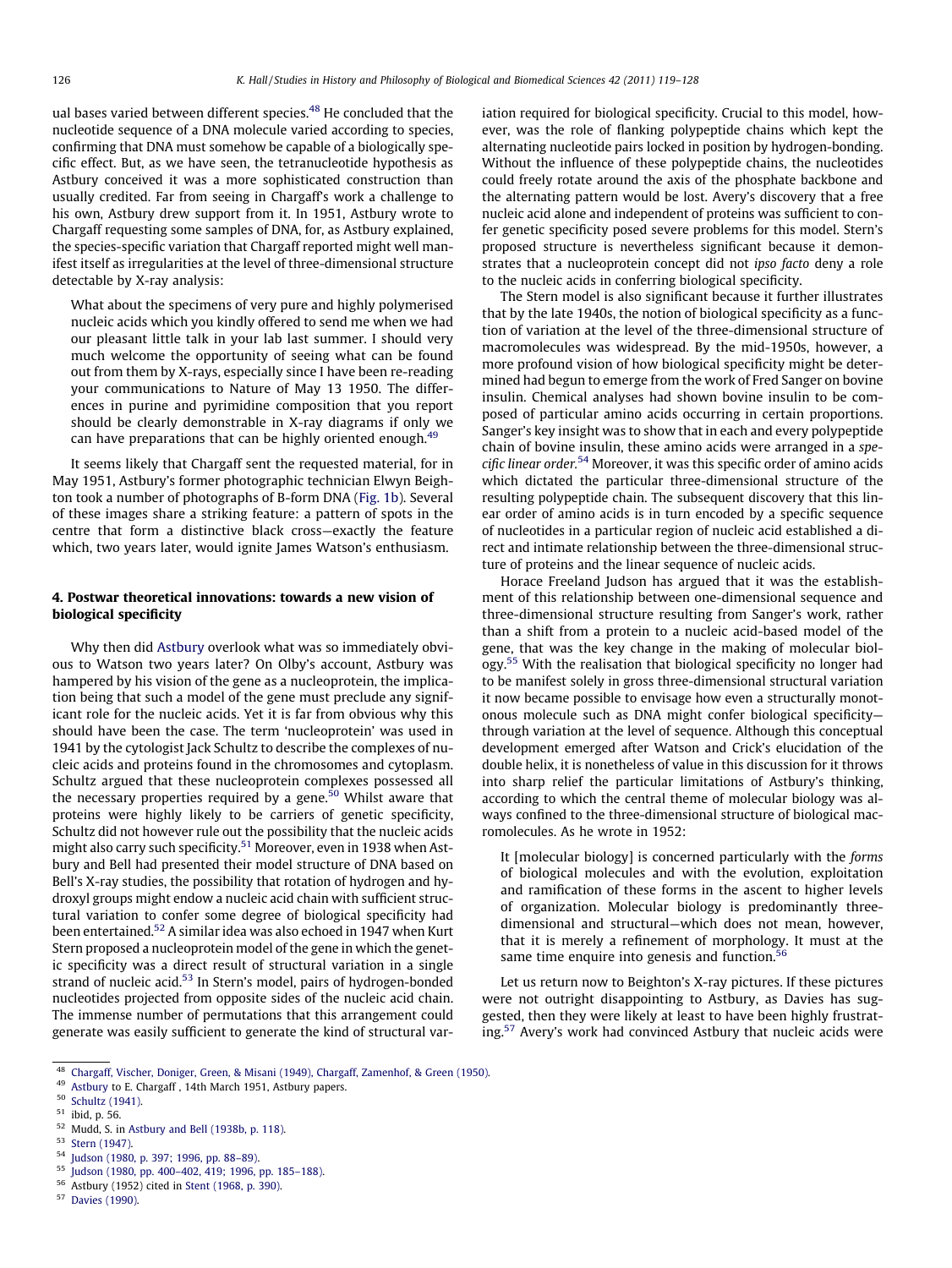ual bases varied between different species.48 He concluded that the nucleotide sequence of a DNA molecule varied according to species, confirming that DNA must somehow be capable of a biologically specific effect. But, as we have seen, the tetranucleotide hypothesis as Astbury conceived it was a more sophisticated construction than usually credited. Far from seeing in Chargaff's work a challenge to his own, Astbury drew support from it. In 1951, Astbury wrote to Chargaff requesting some samples of DNA, for, as Astbury explained, the species-specific variation that Chargaff reported might well manifest itself as irregularities at the level of three-dimensional structure detectable by X-ray analysis:

What about the specimens of very pure and highly polymerised nucleic acids which you kindly offered to send me when we had our pleasant little talk in your lab last summer. I should very much welcome the opportunity of seeing what can be found out from them by X-rays, especially since I have been re-reading your communications to Nature of May 13 1950. The differences in purine and pyrimidine composition that you report should be clearly demonstrable in X-ray diagrams if only we can have preparations that can be highly oriented enough.<sup>4</sup>

It seems likely that Chargaff sent the requested material, for in May 1951, Astbury's former photographic technician Elwyn Beighton took a number of photographs of B-form DNA ([Fig. 1b](#page-1-0)). Several of these images share a striking feature: a pattern of spots in the centre that form a distinctive black cross—exactly the feature which, two years later, would ignite James Watson's enthusiasm.

#### 4. Postwar theoretical innovations: towards a new vision of biological specificity

Why then did [Astbury](#page-9-0) overlook what was so immediately obvious to Watson two years later? On Olby's account, Astbury was hampered by his vision of the gene as a nucleoprotein, the implication being that such a model of the gene must preclude any significant role for the nucleic acids. Yet it is far from obvious why this should have been the case. The term 'nucleoprotein' was used in 1941 by the cytologist Jack Schultz to describe the complexes of nucleic acids and proteins found in the chromosomes and cytoplasm. Schultz argued that these nucleoprotein complexes possessed all the necessary properties required by a gene. $50$  Whilst aware that proteins were highly likely to be carriers of genetic specificity, Schultz did not however rule out the possibility that the nucleic acids might also carry such specificity.<sup>51</sup> Moreover, even in 1938 when Astbury and Bell had presented their model structure of DNA based on Bell's X-ray studies, the possibility that rotation of hydrogen and hydroxyl groups might endow a nucleic acid chain with sufficient structural variation to confer some degree of biological specificity had been entertained.52 A similar idea was also echoed in 1947 when Kurt Stern proposed a nucleoprotein model of the gene in which the genetic specificity was a direct result of structural variation in a single strand of nucleic acid.<sup>53</sup> In Stern's model, pairs of hydrogen-bonded nucleotides projected from opposite sides of the nucleic acid chain. The immense number of permutations that this arrangement could generate was easily sufficient to generate the kind of structural variation required for biological specificity. Crucial to this model, however, was the role of flanking polypeptide chains which kept the alternating nucleotide pairs locked in position by hydrogen-bonding. Without the influence of these polypeptide chains, the nucleotides could freely rotate around the axis of the phosphate backbone and the alternating pattern would be lost. Avery's discovery that a free nucleic acid alone and independent of proteins was sufficient to confer genetic specificity posed severe problems for this model. Stern's proposed structure is nevertheless significant because it demonstrates that a nucleoprotein concept did not ipso facto deny a role to the nucleic acids in conferring biological specificity.

The Stern model is also significant because it further illustrates that by the late 1940s, the notion of biological specificity as a function of variation at the level of the three-dimensional structure of macromolecules was widespread. By the mid-1950s, however, a more profound vision of how biological specificity might be determined had begun to emerge from the work of Fred Sanger on bovine insulin. Chemical analyses had shown bovine insulin to be composed of particular amino acids occurring in certain proportions. Sanger's key insight was to show that in each and every polypeptide chain of bovine insulin, these amino acids were arranged in a specific linear order.<sup>54</sup> Moreover, it was this specific order of amino acids which dictated the particular three-dimensional structure of the resulting polypeptide chain. The subsequent discovery that this linear order of amino acids is in turn encoded by a specific sequence of nucleotides in a particular region of nucleic acid established a direct and intimate relationship between the three-dimensional structure of proteins and the linear sequence of nucleic acids.

Horace Freeland Judson has argued that it was the establishment of this relationship between one-dimensional sequence and three-dimensional structure resulting from Sanger's work, rather than a shift from a protein to a nucleic acid-based model of the gene, that was the key change in the making of molecular biology.<sup>55</sup> With the realisation that biological specificity no longer had to be manifest solely in gross three-dimensional structural variation it now became possible to envisage how even a structurally monotonous molecule such as DNA might confer biological specificity through variation at the level of sequence. Although this conceptual development emerged after Watson and Crick's elucidation of the double helix, it is nonetheless of value in this discussion for it throws into sharp relief the particular limitations of Astbury's thinking, according to which the central theme of molecular biology was always confined to the three-dimensional structure of biological macromolecules. As he wrote in 1952:

It [molecular biology] is concerned particularly with the forms of biological molecules and with the evolution, exploitation and ramification of these forms in the ascent to higher levels of organization. Molecular biology is predominantly threedimensional and structural—which does not mean, however, that it is merely a refinement of morphology. It must at the same time enquire into genesis and function.<sup>56</sup>

Let us return now to Beighton's X-ray pictures. If these pictures were not outright disappointing to Astbury, as Davies has suggested, then they were likely at least to have been highly frustrating.57 Avery's work had convinced Astbury that nucleic acids were

<sup>56</sup> Astbury (1952) cited in [Stent \(1968, p. 390\)](#page-9-0).

<sup>48</sup> [Chargaff, Vischer, Doniger, Green, & Misani \(1949\), Chargaff, Zamenhof, & Green \(1950\)](#page-9-0).

<sup>49</sup> [Astbury](#page-9-0) to E. Chargaff, 14th March 1951, Astbury papers.

<sup>50</sup> [Schultz \(1941\).](#page-9-0)

<sup>51</sup> ibid, p. 56.

<sup>52</sup> Mudd, S. in [Astbury and Bell \(1938b, p. 118\).](#page-9-0)

<sup>53</sup> [Stern \(1947\).](#page-9-0)

Judson (1980, p. 397; 1996, pp. 88-89).

<sup>55</sup> [Judson \(1980, pp. 400–402, 419; 1996, pp. 185–188\).](#page-9-0)

<sup>57</sup> [Davies \(1990\).](#page-9-0)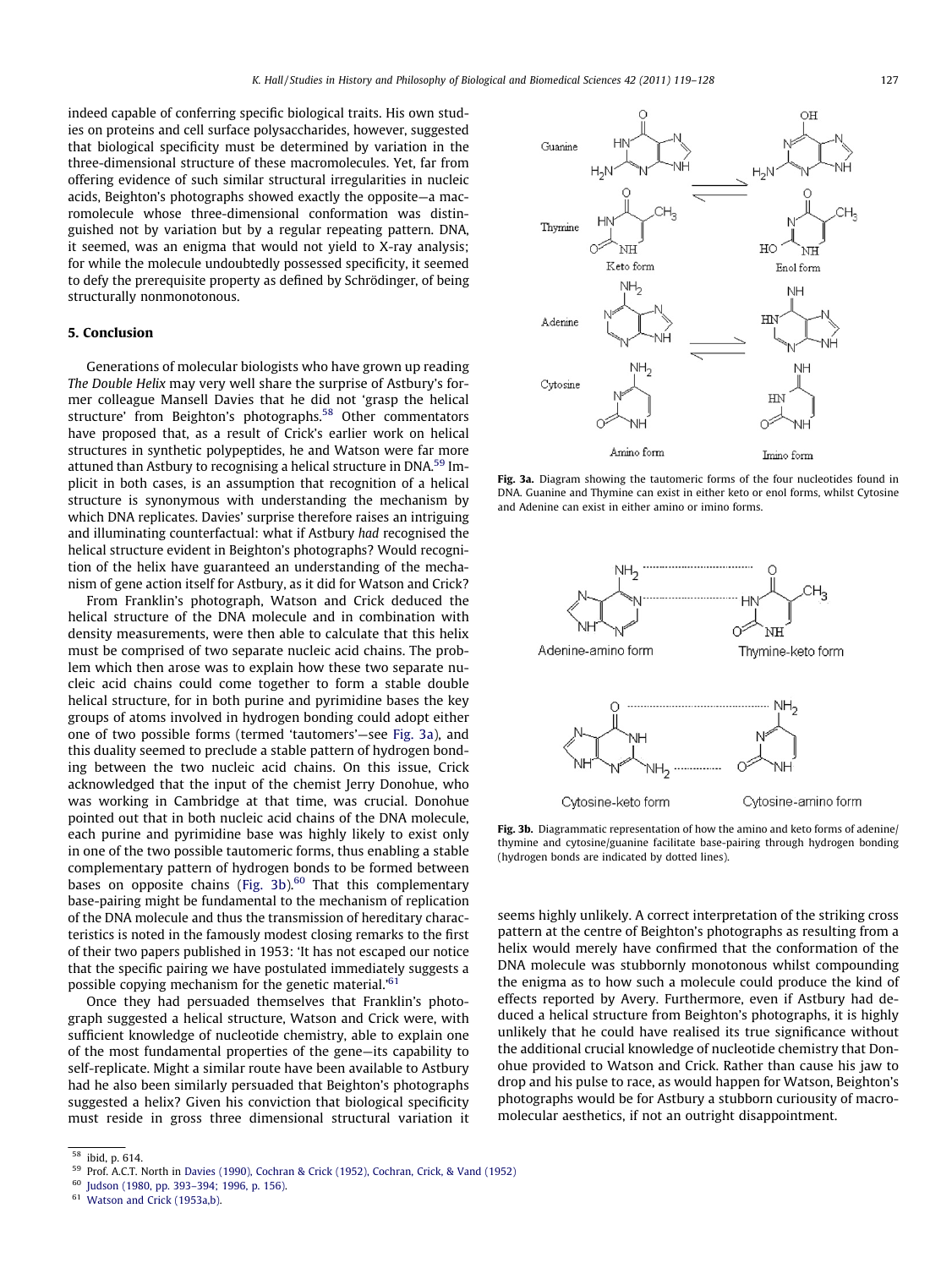indeed capable of conferring specific biological traits. His own studies on proteins and cell surface polysaccharides, however, suggested that biological specificity must be determined by variation in the three-dimensional structure of these macromolecules. Yet, far from offering evidence of such similar structural irregularities in nucleic acids, Beighton's photographs showed exactly the opposite—a macromolecule whose three-dimensional conformation was distinguished not by variation but by a regular repeating pattern. DNA, it seemed, was an enigma that would not yield to X-ray analysis; for while the molecule undoubtedly possessed specificity, it seemed to defy the prerequisite property as defined by Schrödinger, of being structurally nonmonotonous.

#### 5. Conclusion

Generations of molecular biologists who have grown up reading The Double Helix may very well share the surprise of Astbury's former colleague Mansell Davies that he did not 'grasp the helical structure' from Beighton's photographs.<sup>58</sup> Other commentators have proposed that, as a result of Crick's earlier work on helical structures in synthetic polypeptides, he and Watson were far more attuned than Astbury to recognising a helical structure in DNA.<sup>59</sup> Implicit in both cases, is an assumption that recognition of a helical structure is synonymous with understanding the mechanism by which DNA replicates. Davies' surprise therefore raises an intriguing and illuminating counterfactual: what if Astbury had recognised the helical structure evident in Beighton's photographs? Would recognition of the helix have guaranteed an understanding of the mechanism of gene action itself for Astbury, as it did for Watson and Crick?

From Franklin's photograph, Watson and Crick deduced the helical structure of the DNA molecule and in combination with density measurements, were then able to calculate that this helix must be comprised of two separate nucleic acid chains. The problem which then arose was to explain how these two separate nucleic acid chains could come together to form a stable double helical structure, for in both purine and pyrimidine bases the key groups of atoms involved in hydrogen bonding could adopt either one of two possible forms (termed 'tautomers'—see Fig. 3a), and this duality seemed to preclude a stable pattern of hydrogen bonding between the two nucleic acid chains. On this issue, Crick acknowledged that the input of the chemist Jerry Donohue, who was working in Cambridge at that time, was crucial. Donohue pointed out that in both nucleic acid chains of the DNA molecule, each purine and pyrimidine base was highly likely to exist only in one of the two possible tautomeric forms, thus enabling a stable complementary pattern of hydrogen bonds to be formed between bases on opposite chains (Fig. 3b). $60$  That this complementary base-pairing might be fundamental to the mechanism of replication of the DNA molecule and thus the transmission of hereditary characteristics is noted in the famously modest closing remarks to the first of their two papers published in 1953: 'It has not escaped our notice that the specific pairing we have postulated immediately suggests a possible copying mechanism for the genetic material.<sup>'61</sup>

Once they had persuaded themselves that Franklin's photograph suggested a helical structure, Watson and Crick were, with sufficient knowledge of nucleotide chemistry, able to explain one of the most fundamental properties of the gene—its capability to self-replicate. Might a similar route have been available to Astbury had he also been similarly persuaded that Beighton's photographs suggested a helix? Given his conviction that biological specificity must reside in gross three dimensional structural variation it



Fig. 3a. Diagram showing the tautomeric forms of the four nucleotides found in DNA. Guanine and Thymine can exist in either keto or enol forms, whilst Cytosine and Adenine can exist in either amino or imino forms.



Fig. 3b. Diagrammatic representation of how the amino and keto forms of adenine/ thymine and cytosine/guanine facilitate base-pairing through hydrogen bonding (hydrogen bonds are indicated by dotted lines).

seems highly unlikely. A correct interpretation of the striking cross pattern at the centre of Beighton's photographs as resulting from a helix would merely have confirmed that the conformation of the DNA molecule was stubbornly monotonous whilst compounding the enigma as to how such a molecule could produce the kind of effects reported by Avery. Furthermore, even if Astbury had deduced a helical structure from Beighton's photographs, it is highly unlikely that he could have realised its true significance without the additional crucial knowledge of nucleotide chemistry that Donohue provided to Watson and Crick. Rather than cause his jaw to drop and his pulse to race, as would happen for Watson, Beighton's photographs would be for Astbury a stubborn curiousity of macromolecular aesthetics, if not an outright disappointment.

 $\overline{58}$  ibid, p. 614.

<sup>&</sup>lt;sup>59</sup> Prof. A.C.T. North in [Davies \(1990\), Cochran & Crick \(1952\), Cochran, Crick, & Vand \(1952\)](#page-9-0)<br><sup>60</sup> Judsen (1980, pp. 202, 204, 1906, p. 156)

Judson (1980, pp. 393-394; 1996, p. 156).

<sup>&</sup>lt;sup>61</sup> [Watson and Crick \(1953a,b\)](#page-9-0).